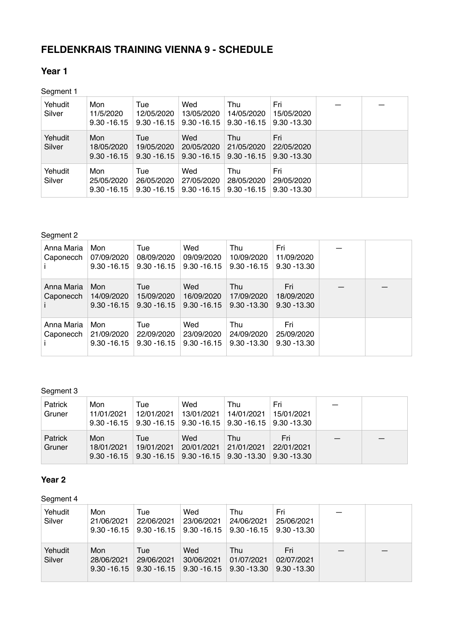# **FELDENKRAIS TRAINING VIENNA 9 - SCHEDULE**

### **Year 1**

Segment 1

| Yehudit<br>Silver | Mon<br>11/5/2020<br>$9.30 - 16.15$  | Tue<br>12/05/2020<br>$9.30 - 16.15$ | Wed<br>13/05/2020<br>$9.30 - 16.15$ | Thu<br>14/05/2020<br>$9.30 - 16.15$ | Fri<br>15/05/2020<br>$9.30 - 13.30$ |  |
|-------------------|-------------------------------------|-------------------------------------|-------------------------------------|-------------------------------------|-------------------------------------|--|
| Yehudit<br>Silver | Mon<br>18/05/2020<br>$9.30 - 16.15$ | Tue<br>19/05/2020<br>$9.30 - 16.15$ | Wed<br>20/05/2020<br>$9.30 - 16.15$ | Thu<br>21/05/2020<br>$9.30 - 16.15$ | Fri<br>22/05/2020<br>$9.30 - 13.30$ |  |
| Yehudit<br>Silver | Mon<br>25/05/2020<br>$9.30 - 16.15$ | Tue<br>26/05/2020<br>$9.30 - 16.15$ | Wed<br>27/05/2020<br>$9.30 - 16.15$ | Thu<br>28/05/2020<br>$9.30 - 16.15$ | Fri<br>29/05/2020<br>$9.30 - 13.30$ |  |

Segment 2

| Anna Maria<br>Caponecch | Mon<br>07/09/2020<br>$9.30 - 16.15$ | Tue<br>08/09/2020<br>$9.30 - 16.15$ | Wed<br>09/09/2020<br>$9.30 - 16.15$ | Thu<br>10/09/2020<br>$9.30 - 16.15$ | Fri<br>11/09/2020<br>$9.30 - 13.30$ |  |
|-------------------------|-------------------------------------|-------------------------------------|-------------------------------------|-------------------------------------|-------------------------------------|--|
| Anna Maria<br>Caponecch | Mon<br>14/09/2020<br>$9.30 - 16.15$ | Tue<br>15/09/2020<br>$9.30 - 16.15$ | Wed<br>16/09/2020<br>$9.30 - 16.15$ | Thu<br>17/09/2020<br>$9.30 - 13.30$ | Fri<br>18/09/2020<br>$9.30 - 13.30$ |  |
| Anna Maria<br>Caponecch | Mon<br>21/09/2020<br>$9.30 - 16.15$ | Tue<br>22/09/2020<br>$9.30 - 16.15$ | Wed<br>23/09/2020<br>$9.30 - 16.15$ | Thu<br>24/09/2020<br>$9.30 - 13.30$ | Fri<br>25/09/2020<br>$9.30 - 13.30$ |  |

#### Segment 3

| Patrick<br>Gruner | Mon<br>11/01/2021 | Tue<br>12/01/2021<br>$9.30 - 16.15$   $9.30 - 16.15$   $9.30 - 16.15$   $9.30 - 16.15$   $9.30 - 13.30$ | Wed<br>13/01/2021            | Thu<br>14/01/2021 | Fri<br>15/01/2021 |  |
|-------------------|-------------------|---------------------------------------------------------------------------------------------------------|------------------------------|-------------------|-------------------|--|
| Patrick<br>Gruner | Mon<br>18/01/2021 | Tue<br>19/01/2021<br>$9.30 - 16.15$   $9.30 - 16.15$   $9.30 - 16.15$   $9.30 - 13.30$   $9.30 - 13.30$ | Wed<br>20/01/2021 21/01/2021 | Thu               | Fri<br>22/01/2021 |  |

## **Year 2**

## Segment 4

| Yehudit<br>Silver | Mon<br>21/06/2021<br>$9.30 - 16.15$ | Tue<br>22/06/2021<br>$9.30 - 16.15$ | Wed<br>23/06/2021<br>$9.30 - 16.15$ 9.30 - 16.15 | Thu<br>24/06/2021 | Fri<br>25/06/2021<br>$9.30 - 13.30$ |  |
|-------------------|-------------------------------------|-------------------------------------|--------------------------------------------------|-------------------|-------------------------------------|--|
| Yehudit<br>Silver | Mon<br>28/06/2021<br>$9.30 - 16.15$ | Tue<br>29/06/2021<br>$9.30 - 16.15$ | Wed<br>30/06/2021<br>$9.30 - 16.15$ 9.30 - 13.30 | Thu<br>01/07/2021 | Fri<br>02/07/2021<br>$9.30 - 13.30$ |  |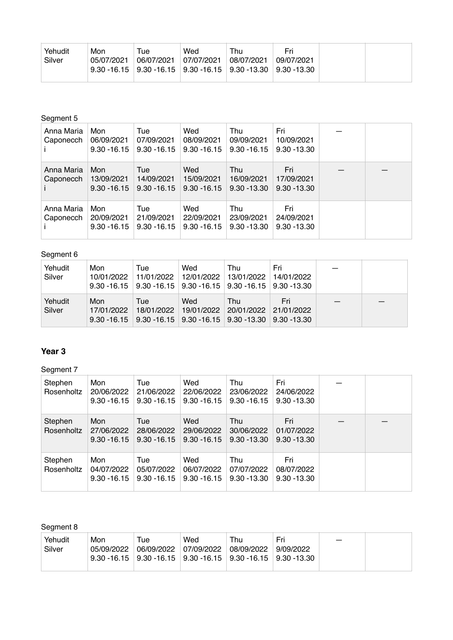|--|

#### Segment 5

| Anna Maria<br>Caponecch | Mon<br>06/09/2021<br>$9.30 - 16.15$ | Tue<br>07/09/2021<br>$9.30 - 16.15$ | Wed<br>08/09/2021<br>$9.30 - 16.15$ | Thu<br>09/09/2021<br>$9.30 - 16.15$ | Fri<br>10/09/2021<br>$9.30 - 13.30$ |  |
|-------------------------|-------------------------------------|-------------------------------------|-------------------------------------|-------------------------------------|-------------------------------------|--|
| Anna Maria<br>Caponecch | Mon<br>13/09/2021<br>$9.30 - 16.15$ | Tue<br>14/09/2021<br>$9.30 - 16.15$ | Wed<br>15/09/2021<br>$9.30 - 16.15$ | Thu<br>16/09/2021<br>$9.30 - 13.30$ | Fri<br>17/09/2021<br>$9.30 - 13.30$ |  |
| Anna Maria<br>Caponecch | Mon<br>20/09/2021<br>$9.30 - 16.15$ | Tue<br>21/09/2021<br>$9.30 - 16.15$ | Wed<br>22/09/2021<br>$9.30 - 16.15$ | Thu<br>23/09/2021<br>$9.30 - 13.30$ | Fri<br>24/09/2021<br>$9.30 - 13.30$ |  |

#### Segment 6

| Yehudit<br>Silver | Mon<br>10/01/2022                   | Tue<br>11/01/2022 | Wed<br>12/01/2022<br>$9.30 - 16.15$   $9.30 - 16.15$   $9.30 - 16.15$   $9.30 - 16.15$   $9.30 - 13.30$ | Thu<br>13/01/2022 | Fri<br>14/01/2022 |  |
|-------------------|-------------------------------------|-------------------|---------------------------------------------------------------------------------------------------------|-------------------|-------------------|--|
| Yehudit<br>Silver | Mon<br>17/01/2022<br>$9.30 - 16.15$ | Tue<br>18/01/2022 | Wed<br>19/01/2022<br>$\mid$ 9.30 -16.15 $\mid$ 9.30 -16.15 $\mid$ 9.30 -13.30 $\mid$ 9.30 -13.30        | Thu<br>20/01/2022 | Fri<br>21/01/2022 |  |

#### **Year 3**

Segment 7

| Stephen<br>Rosenholtz | Mon<br>20/06/2022<br>$9.30 - 16.15$ | Tue<br>21/06/2022<br>$9.30 - 16.15$ | Wed<br>22/06/2022<br>$9.30 - 16.15$ | Thu<br>23/06/2022<br>$9.30 - 16.15$ | Fri<br>24/06/2022<br>$9.30 - 13.30$ |  |
|-----------------------|-------------------------------------|-------------------------------------|-------------------------------------|-------------------------------------|-------------------------------------|--|
| Stephen<br>Rosenholtz | Mon<br>27/06/2022<br>$9.30 - 16.15$ | Tue<br>28/06/2022<br>$9.30 - 16.15$ | Wed<br>29/06/2022<br>$9.30 - 16.15$ | Thu<br>30/06/2022<br>$9.30 - 13.30$ | Fri<br>01/07/2022<br>$9.30 - 13.30$ |  |
| Stephen<br>Rosenholtz | Mon<br>04/07/2022<br>$9.30 - 16.15$ | Tue<br>05/07/2022<br>$9.30 - 16.15$ | Wed<br>06/07/2022<br>$9.30 - 16.15$ | Thu<br>07/07/2022<br>$9.30 - 13.30$ | Fri<br>08/07/2022<br>$9.30 - 13.30$ |  |

#### Segment 8

| Yehudit<br>Silver | Mon<br>05/09/2022 | ™ue<br>06/09/2022 | Wed<br>07/09/2022 | Thu<br>  08/09/2022<br>$9.30 - 16.15$   $9.30 - 16.15$   $9.30 - 16.15$   $9.30 - 16.15$   $9.30 - 13.30$ | Fri<br>9/09/2022 |  |
|-------------------|-------------------|-------------------|-------------------|-----------------------------------------------------------------------------------------------------------|------------------|--|
|                   |                   |                   |                   |                                                                                                           |                  |  |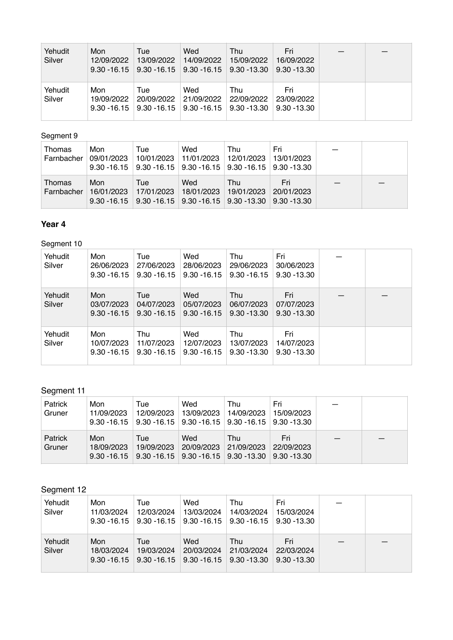| Yehudit<br>Silver | Mon<br>12/09/2022<br>$9.30 - 16.15$ | Tue<br>13/09/2022<br>$9.30 - 16.15$ | Wed<br>14/09/2022<br>$9.30 - 16.15$ 9.30 - 13.30 | Thu<br>15/09/2022 | Fri<br>16/09/2022<br>$9.30 - 13.30$ |  |
|-------------------|-------------------------------------|-------------------------------------|--------------------------------------------------|-------------------|-------------------------------------|--|
| Yehudit<br>Silver | Mon<br>19/09/2022<br>$9.30 - 16.15$ | Tue<br>20/09/2022<br>$9.30 - 16.15$ | Wed<br>21/09/2022<br>$9.30 - 16.15$ 9.30 - 13.30 | Thu<br>22/09/2022 | Fri<br>23/09/2022<br>$9.30 - 13.30$ |  |

## Segment 9

| <b>Thomas</b><br>Farnbacher | Mon<br>09/01/2023 | Tue<br>10/01/2023 | Wed               | Thu<br>11/01/2023 12/01/2023<br>$9.30 - 16.15$   $9.30 - 16.15$   $9.30 - 16.15$   $9.30 - 16.15$   $9.30 - 13.30$ | Fri<br>13/01/2023 |  |
|-----------------------------|-------------------|-------------------|-------------------|--------------------------------------------------------------------------------------------------------------------|-------------------|--|
| Thomas<br>Farnbacher        | Mon<br>16/01/2023 | Tue<br>17/01/2023 | Wed<br>18/01/2023 | Thu<br>19/01/2023<br>$9.30 - 16.15$   $9.30 - 16.15$   $9.30 - 16.15$   $9.30 - 13.30$   $9.30 - 13.30$            | Fri<br>20/01/2023 |  |

## **Year 4**

## Segment 10

| Yehudit<br>Silver | Mon<br>26/06/2023<br>$9.30 - 16.15$ | Tue<br>27/06/2023<br>$9.30 - 16.15$ | Wed<br>28/06/2023<br>$9.30 - 16.15$ | Thu<br>29/06/2023<br>$9.30 - 16.15$ | Fri<br>30/06/2023<br>$9.30 - 13.30$ |  |
|-------------------|-------------------------------------|-------------------------------------|-------------------------------------|-------------------------------------|-------------------------------------|--|
| Yehudit<br>Silver | Mon<br>03/07/2023<br>$9.30 - 16.15$ | Tue<br>04/07/2023<br>$9.30 - 16.15$ | Wed<br>05/07/2023<br>$9.30 - 16.15$ | Thu<br>06/07/2023<br>$9.30 - 13.30$ | Fri<br>07/07/2023<br>$9.30 - 13.30$ |  |
| Yehudit<br>Silver | Mon<br>10/07/2023<br>$9.30 - 16.15$ | Thu<br>11/07/2023<br>$9.30 - 16.15$ | Wed<br>12/07/2023<br>$9.30 - 16.15$ | Thu<br>13/07/2023<br>$9.30 - 13.30$ | Fri<br>14/07/2023<br>$9.30 - 13.30$ |  |

## Segment 11

| Patrick<br>Gruner | Mon<br>11/09/2023 | Tue<br>12/09/2023 | Wed<br>13/09/2023<br>$9.30 - 16.15$   $9.30 - 16.15$   $9.30 - 16.15$   $9.30 - 16.15$   $9.30 - 13.30$ | Thu<br>14/09/2023 | Fri<br>15/09/2023 |  |
|-------------------|-------------------|-------------------|---------------------------------------------------------------------------------------------------------|-------------------|-------------------|--|
| Patrick<br>Gruner | Mon<br>18/09/2023 | Tue<br>19/09/2023 | Wed<br>20/09/2023<br>$9.30 - 16.15$   $9.30 - 16.15$   $9.30 - 16.15$   $9.30 - 13.30$   $9.30 - 13.30$ | Thu<br>21/09/2023 | Fri<br>22/09/2023 |  |

# Segment 12

| Yehudit<br>Silver | Mon<br>11/03/2024<br>$9.30 - 16.15$ | Tue<br>12/03/2024<br>$9.30 - 16.15$ | Wed<br>13/03/2024<br>9.30 - 16.15                    | Thu<br>14/03/2024<br>$9.30 - 16.15$ | Fri<br>15/03/2024<br>$9.30 - 13.30$ |  |
|-------------------|-------------------------------------|-------------------------------------|------------------------------------------------------|-------------------------------------|-------------------------------------|--|
| Yehudit<br>Silver | Mon<br>18/03/2024<br>$9.30 - 16.15$ | Tue<br>19/03/2024                   | Wed<br>20/03/2024<br>$9.30 - 16.15$   $9.30 - 16.15$ | Thu<br>21/03/2024<br>$9.30 - 13.30$ | Fri<br>22/03/2024<br>$9.30 - 13.30$ |  |